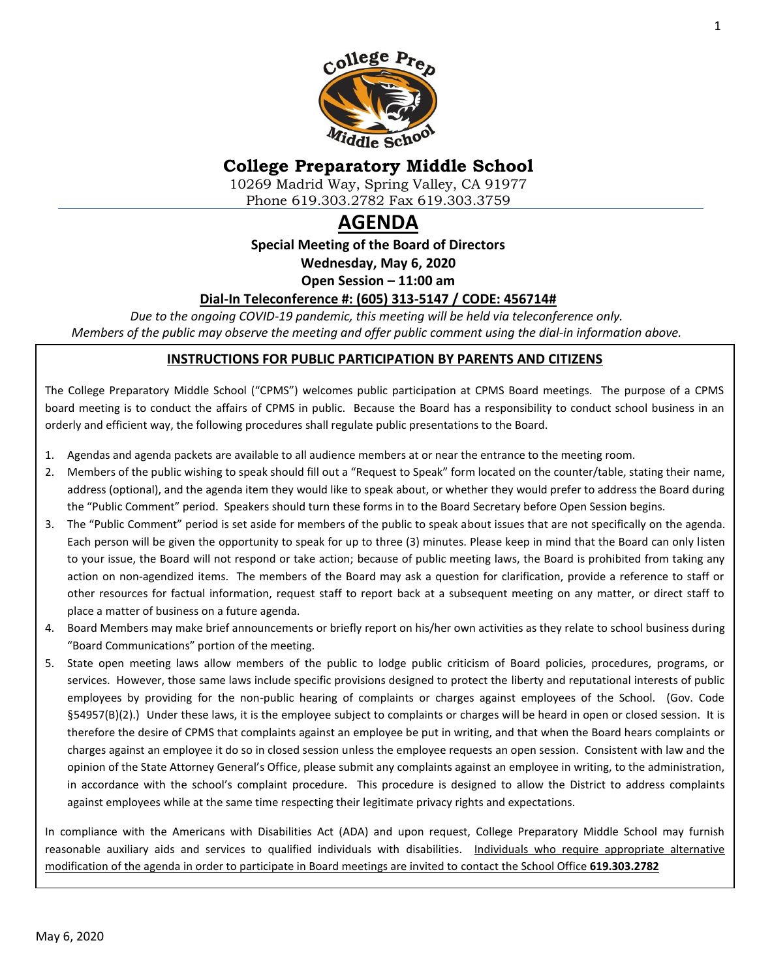

# **College Preparatory Middle School**

10269 Madrid Way, Spring Valley, CA 91977 Phone 619.303.2782 Fax 619.303.3759

# **AGENDA**

**Special Meeting of the Board of Directors**

**Wednesday, May 6, 2020**

**Open Session – 11:00 am**

### **Dial-In Teleconference #: (605) 313-5147 / CODE: 456714#**

*Due to the ongoing COVID-19 pandemic, this meeting will be held via teleconference only. Members of the public may observe the meeting and offer public comment using the dial-in information above.*

### **INSTRUCTIONS FOR PUBLIC PARTICIPATION BY PARENTS AND CITIZENS**

The College Preparatory Middle School ("CPMS") welcomes public participation at CPMS Board meetings. The purpose of a CPMS board meeting is to conduct the affairs of CPMS in public. Because the Board has a responsibility to conduct school business in an orderly and efficient way, the following procedures shall regulate public presentations to the Board.

- 1. Agendas and agenda packets are available to all audience members at or near the entrance to the meeting room.
- 2. Members of the public wishing to speak should fill out a "Request to Speak" form located on the counter/table, stating their name, address (optional), and the agenda item they would like to speak about, or whether they would prefer to address the Board during the "Public Comment" period. Speakers should turn these forms in to the Board Secretary before Open Session begins.
- 3. The "Public Comment" period is set aside for members of the public to speak about issues that are not specifically on the agenda. Each person will be given the opportunity to speak for up to three (3) minutes. Please keep in mind that the Board can only listen to your issue, the Board will not respond or take action; because of public meeting laws, the Board is prohibited from taking any action on non-agendized items. The members of the Board may ask a question for clarification, provide a reference to staff or other resources for factual information, request staff to report back at a subsequent meeting on any matter, or direct staff to place a matter of business on a future agenda.
- 4. Board Members may make brief announcements or briefly report on his/her own activities as they relate to school business during "Board Communications" portion of the meeting.
- 5. State open meeting laws allow members of the public to lodge public criticism of Board policies, procedures, programs, or services. However, those same laws include specific provisions designed to protect the liberty and reputational interests of public employees by providing for the non-public hearing of complaints or charges against employees of the School. (Gov. Code §54957(B)(2).) Under these laws, it is the employee subject to complaints or charges will be heard in open or closed session. It is therefore the desire of CPMS that complaints against an employee be put in writing, and that when the Board hears complaints or charges against an employee it do so in closed session unless the employee requests an open session. Consistent with law and the opinion of the State Attorney General's Office, please submit any complaints against an employee in writing, to the administration, in accordance with the school's complaint procedure. This procedure is designed to allow the District to address complaints against employees while at the same time respecting their legitimate privacy rights and expectations.

In compliance with the Americans with Disabilities Act (ADA) and upon request, College Preparatory Middle School may furnish reasonable auxiliary aids and services to qualified individuals with disabilities. Individuals who require appropriate alternative modification of the agenda in order to participate in Board meetings are invited to contact the School Office **619.303.2782**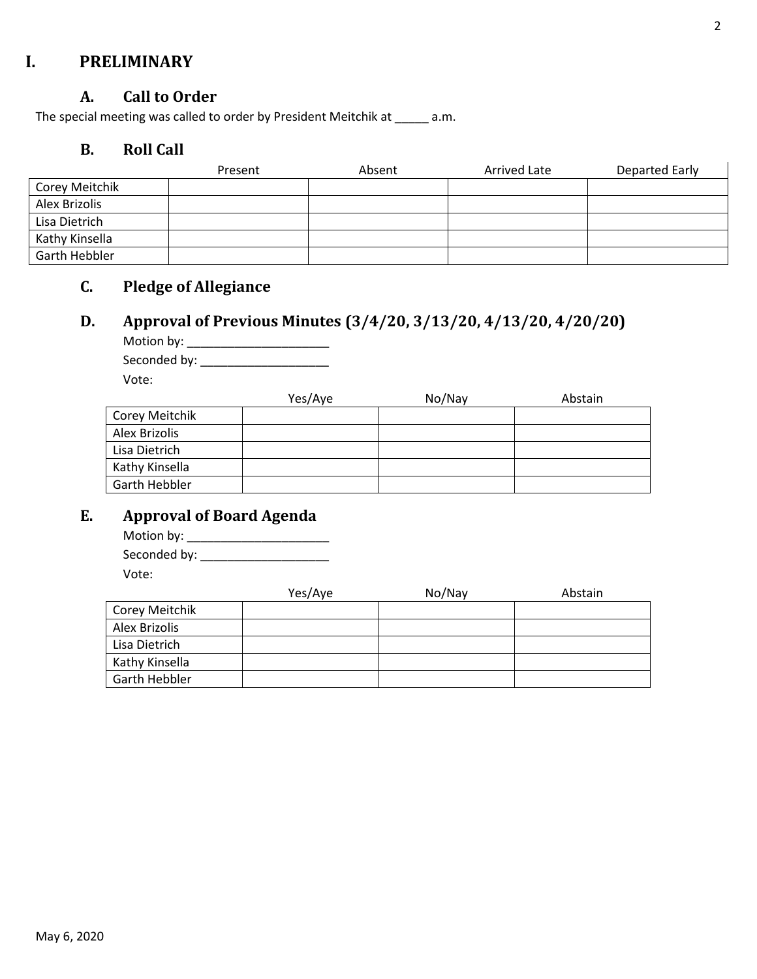## **I. PRELIMINARY**

### **A. Call to Order**

The special meeting was called to order by President Meitchik at \_\_\_\_\_ a.m.

### **B. Roll Call**

|                | Present | Absent | <b>Arrived Late</b> | Departed Early |
|----------------|---------|--------|---------------------|----------------|
| Corey Meitchik |         |        |                     |                |
| Alex Brizolis  |         |        |                     |                |
| Lisa Dietrich  |         |        |                     |                |
| Kathy Kinsella |         |        |                     |                |
| Garth Hebbler  |         |        |                     |                |

## **C. Pledge of Allegiance**

# **D. Approval of Previous Minutes (3/4/20, 3/13/20, 4/13/20, 4/20/20)**

Motion by: \_\_\_\_\_\_\_\_\_\_\_\_\_\_\_\_\_\_\_\_\_ Seconded by: \_\_\_\_\_\_\_\_\_\_\_\_\_\_\_\_\_\_\_ Vote:

|                | Yes/Aye | No/Nay | Abstain |
|----------------|---------|--------|---------|
| Corey Meitchik |         |        |         |
| Alex Brizolis  |         |        |         |
| Lisa Dietrich  |         |        |         |
| Kathy Kinsella |         |        |         |
| Garth Hebbler  |         |        |         |

# **E. Approval of Board Agenda**

| Motion by:   |  |
|--------------|--|
| Seconded by: |  |
| Vote:        |  |

|                | Yes/Aye | No/Nay | Abstain |
|----------------|---------|--------|---------|
| Corey Meitchik |         |        |         |
| Alex Brizolis  |         |        |         |
| Lisa Dietrich  |         |        |         |
| Kathy Kinsella |         |        |         |
| Garth Hebbler  |         |        |         |